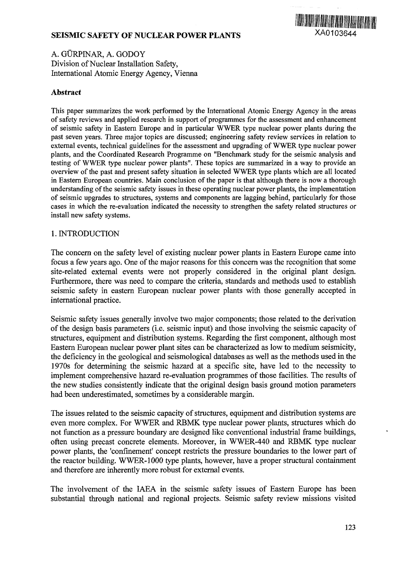#### **SEISMIC SAFETY OF NUCLEAR POWER PLANTS**



## A. GÛRPINAR, A. GODOY Division of Nuclear Installation Safety, International Atomic Energy Agency, Vienna

#### **Abstract**

This paper summarizes the work performed by the International Atomic Energy Agency in the areas of safety reviews and applied research in support of programmes for the assessment and enhancement of seismic safety in Eastern Europe and in particular WWER type nuclear power plants during the past seven years. Three major topics are discussed; engineering safety review services in relation to external events, technical guidelines for the assessment and upgrading of WWER type nuclear power plants, and the Coordinated Research Programme on "Benchmark study for the seismic analysis and testing of WWER type nuclear power plants". These topics are summarized in a way to provide an overview of the past and present safety situation in selected WWER type plants which are all located in Eastern European countries. Main conclusion of the paper is that although there is now a thorough understanding of the seismic safety issues in these operating nuclear power plants, the implementation of seismic upgrades to structures, systems and components are lagging behind, particularly for those cases in which the re-evaluation indicated the necessity to strengthen the safety related structures or install new safety systems.

#### **1.** INTRODUCTION

The concern on the safety level of existing nuclear power plants in Eastern Europe came into focus a few years ago. One of the major reasons for this concern was the recognition that some site-related external events were not properly considered in the original plant design. Furthermore, there was need to compare the criteria, standards and methods used to establish seismic safety in eastern European nuclear power plants with those generally accepted in international practice.

Seismic safety issues generally involve two major components; those related to the derivation of the design basis parameters (i.e. seismic input) and those involving the seismic capacity of structures, equipment and distribution systems. Regarding the first component, although most Eastern European nuclear power plant sites can be characterized as low to medium seismicity, the deficiency in the geological and seismological databases as well as the methods used in the 1970s for determining the seismic hazard at a specific site, have led to the necessity to implement comprehensive hazard re-evaluation programmes of those facilities. The results of the new studies consistently indicate that the original design basis ground motion parameters had been underestimated, sometimes by a considerable margin.

The issues related to the seismic capacity of structures, equipment and distribution systems are even more complex. For WWER and RBMK type nuclear power plants, structures which do not function as a pressure boundary are designed like conventional industrial frame buildings, often using precast concrete elements. Moreover, in WWER-440 and RBMK type nuclear power plants, the 'confinement' concept restricts the pressure boundaries to the lower part of the reactor building. WWER-1000 type plants, however, have a proper structural containment and therefore are inherently more robust for external events.

The involvement of the IAEA in the seismic safety issues of Eastern Europe has been substantial through national and regional projects. Seismic safety review missions visited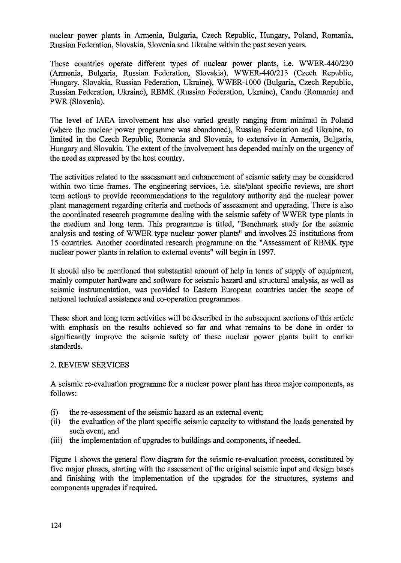nuclear power plants in Armenia, Bulgaria, Czech Republic, Hungary, Poland, Romania, Russian Federation, Slovakia, Slovenia and Ukraine within the past seven years.

These countries operate different types of nuclear power plants, i.e. WWER-440/230 (Armenia, Bulgaria, Russian Federation, Slovakia), WWER-440/213 (Czech Republic, Hungary, Slovakia, Russian Federation, Ukraine), WWER-1000 (Bulgaria, Czech Republic, Russian Federation, Ukraine), RBMK (Russian Federation, Ukraine), Candu (Romania) and PWR (Slovenia).

The level of IAEA involvement has also varied greatly ranging from minimal in Poland (where the nuclear power programme was abandoned), Russian Federation and Ukraine, to limited in the Czech Republic, Romania and Slovenia, to extensive in Armenia, Bulgaria, Hungary and Slovakia. The extent of the involvement has depended mainly on the urgency of the need as expressed by the host country.

The activities related to the assessment and enhancement of seismic safety may be considered within two time frames. The engineering services, i.e. site/plant specific reviews, are short term actions to provide recommendations to the regulatory authority and the nuclear power plant management regarding criteria and methods of assessment and upgrading. There is also the coordinated research programme dealing with the seismic safety of WWER type plants in the medium and long term. This programme is titled, "Benchmark study for the seismic analysis and testing of WWER type nuclear power plants" and involves 25 institutions from 15 countries. Another coordinated research programme on the "Assessment of RBMK type nuclear power plants in relation to external events" will begin in 1997.

It should also be mentioned that substantial amount of help in terms of supply of equipment, mainly computer hardware and software for seismic hazard and structural analysis, as well as seismic instrumentation, was provided to Eastern European countries under the scope of national technical assistance and co-operation programmes.

These short and long term activities will be described in the subsequent sections of this article with emphasis on the results achieved so far and what remains to be done in order to significantly improve the seismic safety of these nuclear power plants built to earlier standards.

#### 2. REVIEW SERVICES

A seismic re-evaluation programme for a nuclear power plant has three major components, as follows:

- (i) the re-assessment of the seismic hazard as an external event;
- (ii) the evaluation of the plant specific seismic capacity to withstand the loads generated by such event, and
- (iii) the implementation of upgrades to buildings and components, if needed.

Figure 1 shows the general flow diagram for the seismic re-evaluation process, constituted by five major phases, starting with the assessment of the original seismic input and design bases and finishing with the implementation of the upgrades for the structures, systems and components upgrades if required.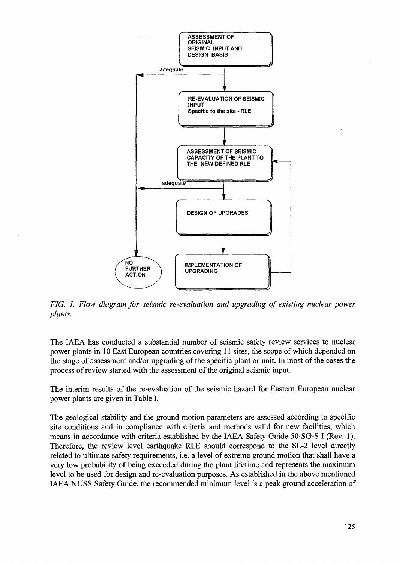

*FIG. 1. Flow diagram for seismic re-evaluation and upgrading of existing nuclear power plants.*

The IAEA has conducted a substantial number of seismic safety review services to nuclear power plants in 10 East European countries covering 11 sites, the scope of which depended on the stage of assessment and/or upgrading of the specific plant or unit. In most of the cases the process of review started with the assessment of the original seismic input.

The interim results of the re-evaluation of the seismic hazard for Eastern European nuclear power plants are given in Table I.

The geological stability and the ground motion parameters are assessed according to specific site conditions and in compliance with criteria and methods valid for new facilities, which means in accordance with criteria established by the IAEA Safety Guide 50-SG-S I (Rev. 1). Therefore, the review level earthquake RLE should correspond to the SL-2 level directly related to ultimate safety requirements, i.e. a level of extreme ground motion that shall have a very low probability of being exceeded during the plant lifetime and represents the maximum level to be used for design and re-evaluation purposes. As established in the above mentioned IAEA NUSS Safety Guide, the recommended minimum level is a peak ground acceleration of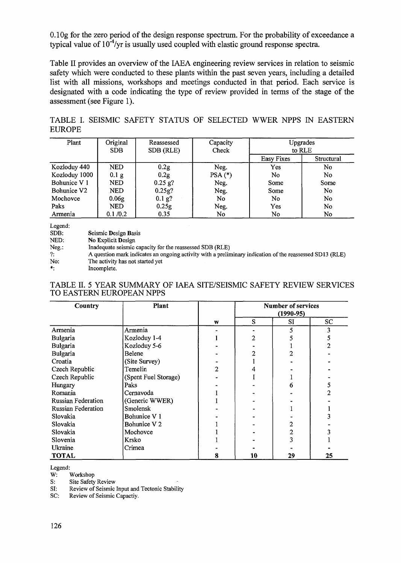0.10g for the zero period of the design response spectrum. For the probability of exceedance a typical value of  $10^{-4}/yr$  is usually used coupled with elastic ground response spectra.

Table II provides an overview of the IAEA engineering review services in relation to seismic safety which were conducted to these plants within the past seven years, including a detailed list with all missions, workshops and meetings conducted in that period. Each service is designated with a code indicating the type of review provided in terms of the stage of the assessment (see Figure 1).

TABLE I. SEISMIC SAFETY STATUS OF SELECTED WWER NPPS IN EASTERN EUROPE

| Plant         | Original<br><b>SDB</b> | Reassessed<br>SDB (RLE) | Capacity<br>Check | Upgrades<br>to RLE |            |
|---------------|------------------------|-------------------------|-------------------|--------------------|------------|
|               |                        |                         |                   | Easy Fixes         | Structural |
| Kozloduy 440  | NED                    | 0.2g                    | Neg.              | Yes                | No.        |
| Kozloduy 1000 | 0.1 <sub>g</sub>       | 0.2g                    | $PSA(*)$          | No.                | No         |
| Bohunice V 1  | NED                    | $0.25$ g?               | Neg.              | Some               | Some       |
| Bohunice V2   | NED                    | 0.25g?                  | Neg.              | Some               | No         |
| Mochovce      | 0.06 <sub>g</sub>      | 0.1 g?                  | No                | No                 | No         |
| Paks          | <b>NED</b>             | 0.25g                   | Neg.              | Yes                | No         |
| Armenia       | 0.1 / 0.2              | 0.35                    | No                | No                 | No         |

Legend:

| SDB: | Seismic Design Basis |
|------|----------------------|
| ---- | .                    |

NED: No Explicit Design

Neg.: Inadequate seismic capacity for the reassessed SDB (RLE)

?: No: A question mark indicates an ongoing activity with a preliminary indication of the reassessed SD13 (RLE) The activity has not started yet

 $\ddot{\phantom{1}}$  . Incomplete.

#### TABLE II. 5 YEAR SUMMARY OF IAEA SITE/SEISMIC SAFETY REVIEW SERVICES TO EASTERN EUROPEAN NPPS

| Country                   | Plant                |   | <b>Number of services</b><br>$(1990-95)$ |                |    |
|---------------------------|----------------------|---|------------------------------------------|----------------|----|
|                           |                      | w | S                                        | <b>SI</b>      | SC |
| Armenia                   | Armenia              |   |                                          | 5              |    |
| <b>Bulgaria</b>           | Kozloduy 1-4         |   | 2                                        |                |    |
| Bulgaria                  | Kozloduy 5-6         |   |                                          |                |    |
| Bulgaria                  | Belene               |   | 2                                        | 2              |    |
| Croatia                   | (Site Survey)        |   |                                          |                |    |
| Czech Republic            | Temelin              | 2 |                                          |                |    |
| Czech Republic            | (Spent Fuel Storage) |   |                                          |                |    |
| Hungary                   | Paks                 |   |                                          | 6              |    |
| Romania                   | Cernavoda            |   |                                          |                |    |
| <b>Russian Federation</b> | (Generic WWER)       |   |                                          |                |    |
| <b>Russian Federation</b> | <b>Smolensk</b>      |   |                                          |                |    |
| Slovakia                  | Bohunice V 1         |   |                                          |                |    |
| Slovakia                  | Bohunice V 2         |   |                                          | 2              |    |
| Slovakia                  | Mochovce             |   |                                          | $\overline{2}$ |    |
| Slovenia                  | Krsko                |   |                                          | 3              |    |
| Ukraine                   | Crimea               |   |                                          |                |    |
| <b>TOTAL</b>              |                      |   | 10                                       | 29             | 25 |

Legend:

W: Workshop<br>S: Site Safety

Site Safety Review

SI: Review of Seismic Input and Tectonic Stability

SC: Review of Seismic Capactiy.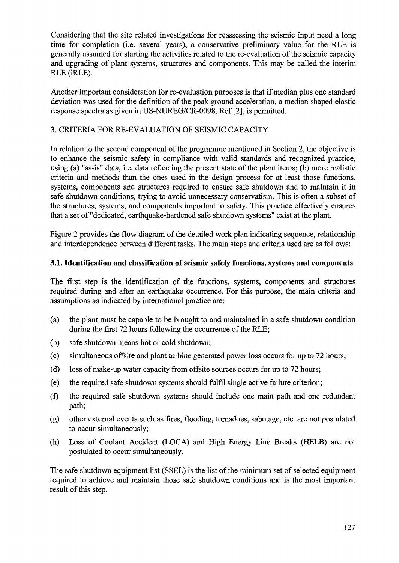Considering that the site related investigations for reassessing the seismic input need a long time for completion (i.e. several years), a conservative preliminary value for the RLE is generally assumed for starting the activities related to the re-evaluation of the seismic capacity and upgrading of plant systems, structures and components. This may be called the interim RLE (iRLE).

Another important consideration for re-evaluation purposes is that if median plus one standard deviation was used for the definition of the peak ground acceleration, a median shaped elastic response spectra as given in US-NUREG/CR-0098, Ref [2], is permitted.

## 3. CRITERIA FOR RE-EVALUATION OF SEISMIC CAPACITY

In relation to the second component of the programme mentioned in Section 2, the objective is to enhance the seismic safety in compliance with valid standards and recognized practice, using (a) "as-is" data, i.e. data reflecting the present state of the plant items; (b) more realistic criteria and methods than the ones used in the design process for at least those functions, systems, components and structures required to ensure safe shutdown and to maintain it in safe shutdown conditions, trying to avoid unnecessary conservatism. This is often a subset of the structures, systems, and components important to safety. This practice effectively ensures that a set of "dedicated, earthquake-hardened safe shutdown systems" exist at the plant.

Figure 2 provides the flow diagram of the detailed work plan indicating sequence, relationship and interdependence between different tasks. The main steps and criteria used are as follows:

#### **3.1. Identification and classification of seismic safety functions, systems and components**

The first step is the identification of the functions, systems, components and structures required during and after an earthquake occurrence. For this purpose, the main criteria and assumptions as indicated by international practice are:

- (a) the plant must be capable to be brought to and maintained in a safe shutdown condition during the first 72 hours following the occurrence of the RLE;
- (b) safe shutdown means hot or cold shutdown;
- (c) simultaneous offsite and plant turbine generated power loss occurs for up to 72 hours;
- (d) loss of make-up water capacity from offsite sources occurs for up to 72 hours;
- (e) the required safe shutdown systems should fulfil single active failure criterion;
- (f) the required safe shutdown systems should include one main path and one redundant path;
- (g) other external events such as fires, flooding, tornadoes, sabotage, etc. are not postulated to occur simultaneously;
- (h) Loss of Coolant Accident (LOCA) and High Energy Line Breaks (HELB) are not postulated to occur simultaneously.

The safe shutdown equipment list (SSEL) is the list of the minimum set of selected equipment required to achieve and maintain those safe shutdown conditions and is the most important result of this step.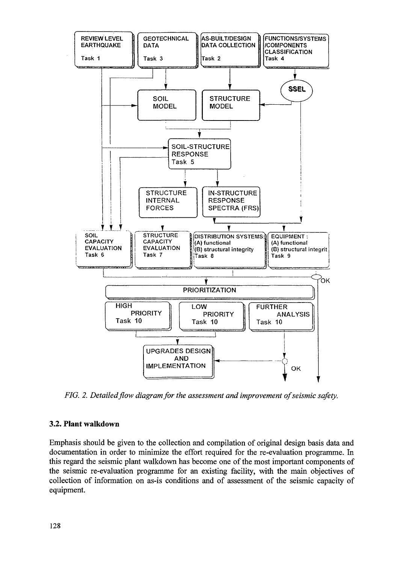

*FIG. 2. Detailed flow diagram for the assessment and improvement of seismic safety.*

#### **3.2. Plant walkdown**

Emphasis should be given to the collection and compilation of original design basis data and documentation in order to minimize the effort required for the re-evaluation programme. In this regard the seismic plant walkdown has become one of the most important components of the seismic re-evaluation programme for an existing facility, with the main objectives of collection of information on as-is conditions and of assessment of the seismic capacity of equipment.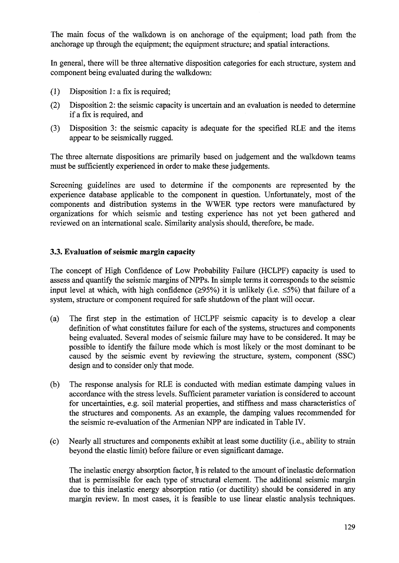The main focus of the walkdown is on anchorage of the equipment; load path from the anchorage up through the equipment; the equipment structure; and spatial interactions.

In general, there will be three alternative disposition categories for each structure, system and component being evaluated during the walkdown:

- (1) Disposition 1: a fix is required;
- (2) Disposition 2: the seismic capacity is uncertain and an evaluation is needed to determine if a fix is required, and
- (3) Disposition 3: the seismic capacity is adequate for the specified RLE and the items appear to be seismically rugged.

The three alternate dispositions are primarily based on judgement and the walkdown teams must be sufficiently experienced in order to make these judgements.

Screening guidelines are used to determine if the components are represented by the experience database applicable to the component in question. Unfortunately, most of the components and distribution systems in the WWER type rectors were manufactured by organizations for which seismic and testing experience has not yet been gathered and reviewed on an international scale. Similarity analysis should, therefore, be made.

#### **3.3. Evaluation of seismic margin capacity**

The concept of High Confidence of Low Probability Failure (HCLPF) capacity is used to assess and quantify the seismic margins of NPPs. In simple terms it corresponds to the seismic input level at which, with high confidence ( $\geq$ 95%) it is unlikely (i.e.  $\leq$ 5%) that failure of a system, structure or component required for safe shutdown of the plant will occur.

- (a) The first step in the estimation of HCLPF seismic capacity is to develop a clear definition of what constitutes failure for each of the systems, structures and components being evaluated. Several modes of seismic failure may have to be considered. It may be possible to identify the failure mode which is most likely or the most dominant to be caused by the seismic event by reviewing the structure, system, component (SSC) design and to consider only that mode.
- (b) The response analysis for RLE is conducted with median estimate damping values in accordance with the stress levels. Sufficient parameter variation is considered to account for uncertainties, e.g. soil material properties, and stiffness and mass characteristics of the structures and components. As an example, the damping values recommended for the seismic re-evaluation of the Armenian NPP are indicated in Table IV.
- (c) Nearly all structures and components exhibit at least some ductility (i.e., ability to strain beyond the elastic limit) before failure or even significant damage.

The inelastic energy absorption factor,  $\parallel$  is related to the amount of inelastic deformation that is permissible for each type of structural element. The additional seismic margin due to this inelastic energy absorption ratio (or ductility) should be considered in any margin review. In most cases, it is feasible to use linear elastic analysis techniques.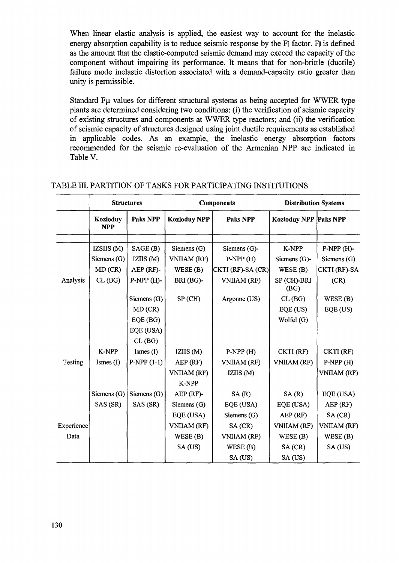When linear elastic analysis is applied, the easiest way to account for the inelastic energy absorption capability is to reduce seismic response by the  $F$  factor. F $\parallel$  is defined as the amount that the elastic-computed seismic demand may exceed the capacity of the component without impairing its performance. It means that for non-brittle (ductile) failure mode inelastic distortion associated with a demand-capacity ratio greater than unity is permissible.

Standard F<sub>µ</sub> values for different structural systems as being accepted for WWER type plants are determined considering two conditions: (i) the verification of seismic capacity of existing structures and components at WWER type reactors; and (ii) the verification of seismic capacity of structures designed using joint ductile requirements as established in applicable codes. As an example, the inelastic energy absorption factors recommended for the seismic re-evaluation of the Armenian NPP are indicated in Table V.

|            | <b>Structures</b>      |               |                     | Components        |                              | <b>Distribution Systems</b> |  |
|------------|------------------------|---------------|---------------------|-------------------|------------------------------|-----------------------------|--|
|            | Kozloduy<br><b>NPP</b> | Paks NPP      | <b>Kozloduy NPP</b> | Paks NPP          | <b>Kozloduy NPP Paks NPP</b> |                             |  |
|            |                        |               |                     |                   |                              |                             |  |
|            | IZSIIS (M)             | SAGE (B)      | Siemens (G)         | Siemens (G)-      | K-NPP                        | $P-NPP(H)$ -                |  |
|            | Siemens (G)            | IZIIS (M)     | VNIIAM (RF)         | $P-NPP(H)$        | Siemens (G)-                 | Siemens (G)                 |  |
|            | MD (CR)                | AEP (RF)-     | WESE(B)             | CKTI (RF)-SA (CR) | WESE(B)                      | CKTI (RF)-SA                |  |
| Analysis   | $CL$ (BG)              | $P-NPP(H)$ -  | BRI (BG)-           | VNIIAM (RF)       | SP (CH)-BRI<br>(BG)          | (CR)                        |  |
|            |                        | Siemens $(G)$ | $SP$ (CH)           | Argonne (US)      | CL (BG)                      | WESE(B)                     |  |
|            |                        | MD (CR)       |                     |                   | EQE (US)                     | EQE (US)                    |  |
|            |                        | EQE(BG)       |                     |                   | Wolfel (G)                   |                             |  |
|            |                        | EQE (USA)     |                     |                   |                              |                             |  |
|            |                        | $CL$ (BG)     |                     |                   |                              |                             |  |
|            | K-NPP                  | Ismes(I)      | IZIIS (M)           | $P-NPP(H)$        | CKTI (RF)                    | CKTI (RF)                   |  |
| Testing    | Ismes(I)               | $P-NPP(1-1)$  | AEP(RF)             | VNIIAM (RF)       | <b>VNIIAM (RF)</b>           | $P-NPP(H)$                  |  |
|            |                        |               | <b>VNIIAM (RF)</b>  | IZIIS (M)         |                              | <b>VNIIAM (RF)</b>          |  |
|            |                        |               | K-NPP               |                   |                              |                             |  |
|            | Siemens (G)            | Siemens $(G)$ | $AEP$ (RF)-         | SA(R)             | SA(R)                        | EQE (USA)                   |  |
|            | SAS (SR)               | SAS (SR)      | Siemens (G)         | EQE (USA)         | EQE (USA)                    | $AEP$ $(RF)$                |  |
|            |                        |               | EQE (USA)           | Siemens (G)       | $AEP$ $(RF)$                 | SA (CR)                     |  |
| Experience |                        |               | VNIIAM (RF)         | SA (CR)           | VNIIAM (RF)                  | VNIIAM (RF)                 |  |
| Data       |                        |               | WESE(B)             | VNIIAM (RF)       | WESE(B)                      | WESE(B)                     |  |
|            |                        |               | SA (US)             | WESE(B)           | SA (CR)                      | SA (US)                     |  |
|            |                        |               |                     | SA (US)           | SA (US)                      |                             |  |

#### TABLE III. PARTITION OF TASKS FOR PARTICIPATING INSTITUTIONS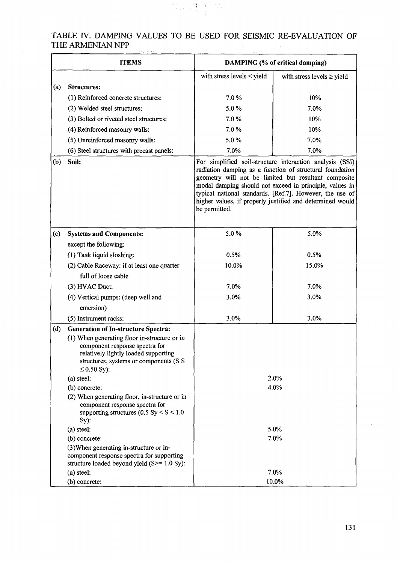# 1990年4月25日

#### TABLE IV. DAMPING VALUES TO BE USED FOR SEISMIC RE-EVALUATION OF THE ARMENIAN NPP ÷. ر<br>موسيقا  $\sim 10$

|     | <b>ITEMS</b>                                                                                                                                                                         | DAMPING (% of critical damping)                                                                                                                                                                                                                                                                                                                                                   |                                |  |
|-----|--------------------------------------------------------------------------------------------------------------------------------------------------------------------------------------|-----------------------------------------------------------------------------------------------------------------------------------------------------------------------------------------------------------------------------------------------------------------------------------------------------------------------------------------------------------------------------------|--------------------------------|--|
|     |                                                                                                                                                                                      | with stress levels < yield                                                                                                                                                                                                                                                                                                                                                        | with stress levels $\ge$ yield |  |
| (a) | <b>Structures:</b>                                                                                                                                                                   |                                                                                                                                                                                                                                                                                                                                                                                   |                                |  |
|     | (1) Reinforced concrete structures:                                                                                                                                                  | 7.0%                                                                                                                                                                                                                                                                                                                                                                              | 10%                            |  |
|     | (2) Welded steel structures:                                                                                                                                                         | 5.0%                                                                                                                                                                                                                                                                                                                                                                              | 7.0%                           |  |
|     | (3) Bolted or riveted steel structures:                                                                                                                                              | 7.0%                                                                                                                                                                                                                                                                                                                                                                              | 10%                            |  |
|     | (4) Reinforced masonry walls:                                                                                                                                                        | 7.0%                                                                                                                                                                                                                                                                                                                                                                              | 10%                            |  |
|     | (5) Unreinforced masonry walls:                                                                                                                                                      | 5.0%                                                                                                                                                                                                                                                                                                                                                                              | 7.0%                           |  |
|     | (6) Steel structures with precast panels:                                                                                                                                            | 7.0%                                                                                                                                                                                                                                                                                                                                                                              | 7.0%                           |  |
| (b) | Soil:                                                                                                                                                                                | For simplified soil-structure interaction analysis (SSI)<br>radiation damping as a function of structural foundation<br>geometry will not be limited but resultant composite<br>modal damping should not exceed in principle, values in<br>typical national standards. [Ref.7]. However, the use of<br>higher values, if properly justified and determined would<br>be permitted. |                                |  |
| (c) | <b>Systems and Components:</b>                                                                                                                                                       | 5.0%                                                                                                                                                                                                                                                                                                                                                                              | 5.0%                           |  |
|     | except the following:                                                                                                                                                                |                                                                                                                                                                                                                                                                                                                                                                                   |                                |  |
|     | (1) Tank liquid sloshing:                                                                                                                                                            | 0.5%                                                                                                                                                                                                                                                                                                                                                                              | 0.5%                           |  |
|     | (2) Cable Raceway: if at least one quarter                                                                                                                                           | 10.0%                                                                                                                                                                                                                                                                                                                                                                             | 15.0%                          |  |
|     | full of loose cable                                                                                                                                                                  |                                                                                                                                                                                                                                                                                                                                                                                   |                                |  |
|     | (3) HVAC Duct:                                                                                                                                                                       | 7.0%                                                                                                                                                                                                                                                                                                                                                                              | 7.0%                           |  |
|     | (4) Vertical pumps: (deep well and                                                                                                                                                   | 3.0%                                                                                                                                                                                                                                                                                                                                                                              | 3.0%                           |  |
|     | emersion)                                                                                                                                                                            |                                                                                                                                                                                                                                                                                                                                                                                   |                                |  |
|     | (5) Instrument racks:                                                                                                                                                                | 3.0%                                                                                                                                                                                                                                                                                                                                                                              | 3.0%                           |  |
| (d) | <b>Generation of In-structure Spectra:</b>                                                                                                                                           |                                                                                                                                                                                                                                                                                                                                                                                   |                                |  |
|     | (1) When generating floor in-structure or in<br>component response spectra for<br>relatively lightly loaded supporting<br>structures, systems or components (S S<br>$\leq$ 0.50 Sy): |                                                                                                                                                                                                                                                                                                                                                                                   |                                |  |
|     | (a) steel:                                                                                                                                                                           |                                                                                                                                                                                                                                                                                                                                                                                   | 2.0%                           |  |
|     | (b) concrete:                                                                                                                                                                        |                                                                                                                                                                                                                                                                                                                                                                                   | 4.0%                           |  |
|     | (2) When generating floor, in-structure or in<br>component response spectra for<br>supporting structures (0.5 Sy $\leq$ S $\leq$ 1.0<br>Sy):                                         |                                                                                                                                                                                                                                                                                                                                                                                   |                                |  |
|     | (a) steel:                                                                                                                                                                           |                                                                                                                                                                                                                                                                                                                                                                                   | 5.0%                           |  |
|     | (b) concrete:                                                                                                                                                                        |                                                                                                                                                                                                                                                                                                                                                                                   | 7.0%                           |  |
|     | (3) When generating in-structure or in-<br>component response spectra for supporting<br>structure loaded beyond yield $(S \ge 1.0$ Sy):                                              |                                                                                                                                                                                                                                                                                                                                                                                   |                                |  |
|     | (a) steel:                                                                                                                                                                           |                                                                                                                                                                                                                                                                                                                                                                                   | 7.0%                           |  |
|     | (b) concrete:                                                                                                                                                                        |                                                                                                                                                                                                                                                                                                                                                                                   | 10.0%                          |  |

 $\sim 50$ 

 $\hat{\boldsymbol{\gamma}}$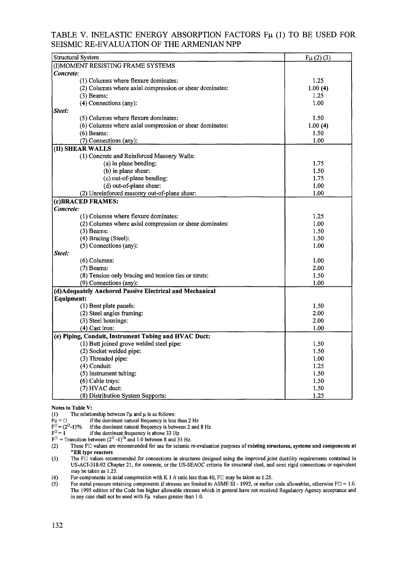#### TABLE V. INELASTIC ENERGY ABSORPTION FACTORS  $F\mu$  (1) TO BE USED FOR SEISMIC RE-EVALUATION OF THE ARMENIAN NPP

| <b>Structural System</b>                                  | $F\mu(2)(3)$ |
|-----------------------------------------------------------|--------------|
| (I) MOMENT RESISTING FRAME SYSTEMS                        |              |
| Concrete:                                                 |              |
| (1) Columns where flexure dominates:                      | 1.25         |
| (2) Columns where axial compression or shear dominates:   | 1.00(4)      |
| $(3)$ Beams:                                              | 1.25         |
| (4) Connections (any):                                    | 1.00         |
| Steel:                                                    |              |
| (5) Columns where flexure dominates:                      | 1.50         |
| (6) Columns where axial compression or shear dominates:   | 1.00(4)      |
| $(6)$ Beams:                                              | 1.50         |
| (7) Connections (any):                                    | 1.00         |
| (II) SHEAR WALLS                                          |              |
| (1) Concrete and Reinforced Masonry Walls:                |              |
| (a) in plane bending:                                     | 1.75         |
| (b) in plane shear:                                       | 1.50         |
| (c) out-of-plane bending:                                 | 1.75         |
| (d) out-of-plane shear:                                   | 1.00         |
| (2) Unreinforced masonry out-of-plane shear:              | 1.00         |
| (c)BRACED FRAMES:                                         |              |
| Concrete:                                                 |              |
| (1) Columns where flexure dominates:                      | 1.25         |
| (2) Columns where axial compression or shear dominates:   | 1.00         |
| $(3)$ Beams:                                              | 1.50         |
| (4) Bracing (Steel):                                      | 1.50         |
| (5) Connections (any):                                    | 1.00         |
| Steel:                                                    |              |
| (6) Columns:                                              | 1.00         |
| $(7)$ Beams:                                              | 2.00         |
| (8) Tension only bracing and tension ties or struts:      | 1.50         |
| (9) Connections (any):                                    | 1.00         |
| (d) Adequately Anchored Passive Electrical and Mechanical |              |
| Equipment:                                                |              |
| (1) Bent plate panels:                                    | 1.50         |
| (2) Steel angles framing:                                 | 2.00         |
| (3) Steel housings:                                       | 2.00         |
| (4) Cast iron:                                            | 1.00         |
| (e) Piping, Conduit, Instrument Tubing and HVAC Duct:     |              |
| (1) Butt joined grove welded steel pipe:                  | 1.50         |
| (2) Socket welded pipe:                                   | 1.50         |
| (3) Threaded pipe:                                        | 1.00         |
| (4) Conduit:                                              | 1.25         |
| (5) Instrument tubing:                                    | 1.50         |
| (6) Cable trays:                                          | 1.50         |
| (7) HVAC duct:                                            | 1.50         |
| (8) Distribution System Supports:                         | 1.25         |

#### **Notes to Table V:**

(1) The relationship between F<sub>µ</sub> and  $\mu$  is as follows:<br>Fu =  $\Box$  if the dominant natural frequency is less

if the dominant natural frequency is less than 2 Hz

- $F^{\Box} = (2^{\Box} 1)^{1/2}$ if the dominant natural frequency is between 2 and 8 Hz
- $F<sup>U</sup> = 1$  if the dominant frequency is above 33 Hz

 $F<sup>0</sup>$  = Transition between  $(2<sup>0</sup> -1)<sup>01</sup>$  and 1.0 between 8 and 33 Hz.

- (2) These FD values are recommended for use for seismic re-evaluation purposes of **existing structures, systems and components at "ER type reactors**
- (3) The FD values recommended for connections in structures designed using the improved joint ductility requirements contained in US-ACI-318-92 Chapter 21, for concrete, or the US-SEAOC criteria for structural steel, and semi rigid connections or equivalent may be taken as 1.25.

(4) For components in axial compression with K 1 /r ratio less than 40,  $F \Box$  may be taken as 1.25.

(5) For metal pressure retaining components if stresses are limited to ASME III - 1992, or earlier code allowables, otherwise  $F\Box = 1.0$ . The 1995 edition of the Code has higher allowable stresses which in general have not received Regulatory Agency acceptance and in any case shall not be used with  $F\mu$  values greater than 1.0.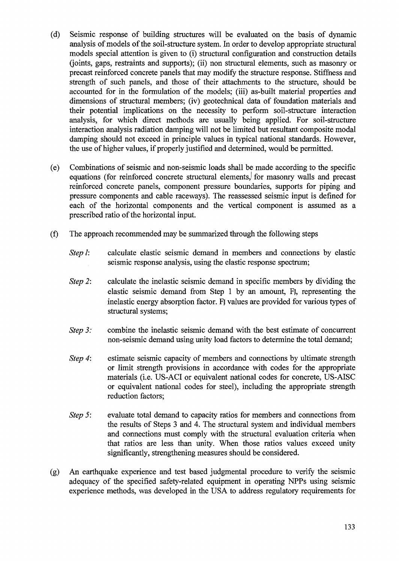- (d) Seismic response of building structures will be evaluated on the basis of dynamic analysis of models of the soil-structure system. In order to develop appropriate structural models special attention is given to (i) structural configuration and construction details (joints, gaps, restraints and supports); (ii) non structural elements, such as masonry or precast reinforced concrete panels that may modify the structure response. Stiffness and strength of such panels, and those of their attachments to the structure, should be accounted for in the formulation of the models; (iii) as-built material properties and dimensions of structural members; (iv) geotechnical data of foundation materials and their potential implications on the necessity to perform soil-structure interaction analysis, for which direct methods are usually being applied. For soil-structure interaction analysis radiation damping will not be limited but resultant composite modal damping should not exceed in principle values in typical national standards. However, the use of higher values, if properly justified and determined, would be permitted.
- (e) Combinations of seismic and non-seismic loads shall be made according to the specific equations (for reinforced concrete structural elements, for masonry walls and precast reinforced concrete panels, component pressure boundaries, supports for piping and pressure components and cable raceways). The reassessed seismic input is defined for each of the horizontal components and the vertical component is assumed as a prescribed ratio of the horizontal input.
- (f) The approach recommended may be summarized through the following steps
	- *Step I:* calculate elastic seismic demand in members and connections by elastic seismic response analysis, using the elastic response spectrum;
	- *Step 2:* calculate the inelastic seismic demand in specific members by dividing the elastic seismic demand from Step  $1$  by an amount, Fl, representing the inelastic energy absorption factor. Fo values are provided for various types of structural systems;
	- *Step 3:* combine the inelastic seismic demand with the best estimate of concurrent non-seismic demand using unity load factors to determine the total demand;
	- *Step 4*: estimate seismic capacity of members and connections by ultimate strength or limit strength provisions in accordance with codes for the appropriate materials (i.e. US-ACI or equivalent national codes for concrete, US-AISC or equivalent national codes for steel), including the appropriate strength reduction factors;
	- *Step 5:* evaluate total demand to capacity ratios for members and connections from the results of Steps 3 and 4. The structural system and individual members and connections must comply with the structural evaluation criteria when that ratios are less than unity. When those ratios values exceed unity significantly, strengthening measures should be considered.
- (g) An earthquake experience and test based judgmental procedure to verify the seismic adequacy of the specified safety-related equipment in operating NPPs using seismic experience methods, was developed in the USA to address regulatory requirements for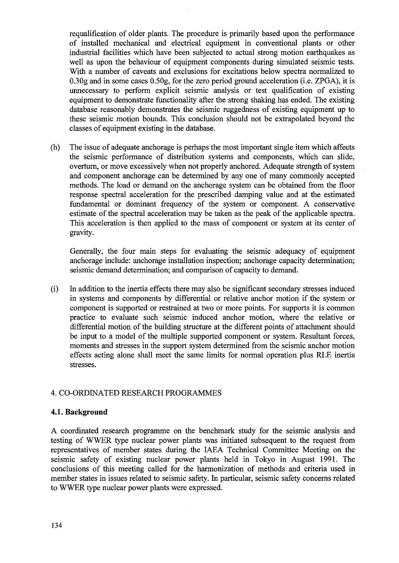requalification of older plants. The procedure is primarily based upon the performance of installed mechanical and electrical equipment in conventional plants or other industrial facilities which have been subjected to actual strong motion earthquakes as well as upon the behaviour of equipment components during simulated seismic tests. With a number of caveats and exclusions for excitations below spectra normalized to 0.30g and in some cases 0.50g, for the zero period ground acceleration (i.e. ZPGA), it is unnecessary to perform explicit seismic analysis or test qualification of existing equipment to demonstrate functionality after the strong shaking has ended. The existing database reasonably demonstrates the seismic ruggedness of existing equipment up to these seismic motion bounds. This conclusion should not be extrapolated beyond the classes of equipment existing in the database.

(h) The issue of adequate anchorage is perhaps the most important single item which affects the seismic performance of distribution systems and components, which can slide, overturn, or move excessively when not properly anchored. Adequate strength of system and component anchorage can be determined by any one of many commonly accepted methods. The load or demand on the anchorage system can be obtained from the floor response spectral acceleration for the prescribed damping value and at the estimated fundamental or dominant frequency of the system or component. A conservative estimate of the spectral acceleration may be taken as the peak of the applicable spectra. This acceleration is then applied to the mass of component or system at its center of gravity.

Generally, the four main steps for evaluating the seismic adequacy of equipment anchorage include: anchorage installation inspection; anchorage capacity determination; seismic demand determination; and comparison of capacity to demand.

(i) In addition to the inertia effects there may also be significant secondary stresses induced in systems and components by differential or relative anchor motion if the system or component is supported or restrained at two or more points. For supports it is common practice to evaluate such seismic induced anchor motion, where the relative or differential motion of the building structure at the different points of attachment should be input to a model of the multiple supported component or system. Resultant forces, moments and stresses in the support system determined from the seismic anchor motion effects acting alone shall meet the same limits for normal operation plus RLE inertia stresses.

#### 4. CO-ORDINATED RESEARCH PROGRAMMES

#### **4.1. Background**

A coordinated research programme on the benchmark study for the seismic analysis and testing of WWER type nuclear power plants was initiated subsequent to the request from representatives of member states during the IAEA Technical Committee Meeting on the seismic safety of existing nuclear power plants held in Tokyo in August 1991. The conclusions of this meeting called for the harmonization of methods and criteria used in member states in issues related to seismic safety. In particular, seismic safety concerns related to WWER type nuclear power plants were expressed.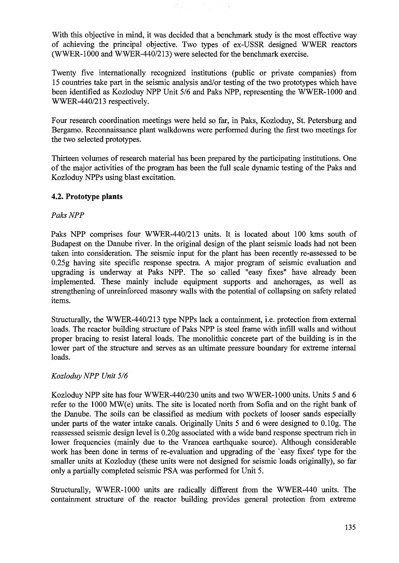With this objective in mind, it was decided that a benchmark study is the most effective way of achieving the principal objective. Two types of ex-USSR designed WWER reactors (WWER-1000 and WWER-440/213) were selected for the benchmark exercise.

Twenty five internationally recognized institutions (public or private companies) from 15 countries take part in the seismic analysis and/or testing of the two prototypes which have been identified as Kozloduy NPP Unit 5/6 and Paks NPP, representing the WWER-1000 and WWER-440/213 respectively.

Four research coordination meetings were held so far, in Paks, Kozloduy, St. Petersburg and Bergamo. Reconnaissance plant walkdowns were performed during the first two meetings for the two selected prototypes.

Thirteen volumes of research material has been prepared by the participating institutions. One of the major activities of the program has been the full scale dynamic testing of the Paks and Kozloduy NPPs using blast excitation.

#### **4.2. Prototype plants**

#### *Paks NPP*

Paks NPP comprises four WWER-440/213 units. It is located about 100 kms south of Budapest on the Danube river. In the original design of the plant seismic loads had not been taken into consideration. The seismic input for the plant has been recently re-assessed to be 0.25g having site specific response spectra. A major program of seismic evaluation and upgrading is underway at Paks NPP. The so called "easy fixes" have already been implemented. These mainly include equipment supports and anchorages, as well as strengthening of unreinforced masonry walls with the potential of collapsing on safety related items.

Structurally, the WWER-440/213 type NPPs lack a containment, i.e. protection from external loads. The reactor building structure of Paks NPP is steel frame with infill walls and without proper bracing to resist lateral loads. The monolithic concrete part of the building is in the lower part of the structure and serves as an ultimate pressure boundary for extreme internal loads.

#### *Kozloduy NPP Unit 5/6*

Kozloduy NPP site has four WWER-440/230 units and two WWER-1000 units. Units 5 and 6 refer to the 1000 MW(e) units. The site is located north from Sofia and on the right bank of the Danube. The soils can be classified as medium with pockets of looser sands especially under parts of the water intake canals. Originally Units 5 and 6 were designed to 0.1 Og. The reassessed seismic design level is 0.20g associated with a wide band response spectrum rich in lower frequencies (mainly due to the Vrancea earthquake source). Although considerable work has been done in terms of re-evaluation and upgrading of the "easy fixes' type for the smaller units at Kozloduy (these units were not designed for seismic loads originally), so far only a partially completed seismic PSA was performed for Unit 5.

Structurally, WWER-1000 units are radically different from the WWER-440 units. The containment structure of the reactor building provides general protection from extreme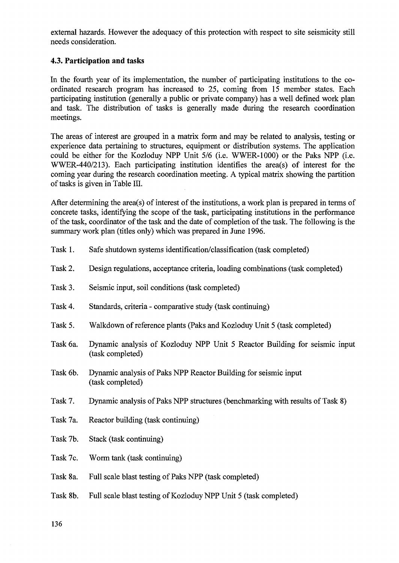external hazards. However the adequacy of this protection with respect to site seismicity still needs consideration.

#### **4.3. Participation and tasks**

In the fourth year of its implementation, the number of participating institutions to the coordinated research program has increased to 25, coming from 15 member states. Each participating institution (generally a public or private company) has a well defined work plan and task. The distribution of tasks is generally made during the research coordination meetings.

The areas of interest are grouped in a matrix form and may be related to analysis, testing or experience data pertaining to structures, equipment or distribution systems. The application could be either for the Kozloduy NPP Unit 5/6 (i.e. WWER-1000) or the Paks NPP (i.e. WWER-440/213). Each participating institution identifies the area(s) of interest for the coming year during the research coordination meeting. A typical matrix showing the partition of tasks is given in Table III.

After determining the area(s) of interest of the institutions, a work plan is prepared in terms of concrete tasks, identifying the scope of the task, participating institutions in the performance of the task, coordinator of the task and the date of completion of the task. The following is the summary work plan (titles only) which was prepared in June 1996.

| Task 1.  | Safe shutdown systems identification/classification (task completed)                           |
|----------|------------------------------------------------------------------------------------------------|
| Task 2.  | Design regulations, acceptance criteria, loading combinations (task completed)                 |
| Task 3.  | Seismic input, soil conditions (task completed)                                                |
| Task 4.  | Standards, criteria - comparative study (task continuing)                                      |
| Task 5.  | Walkdown of reference plants (Paks and Kozloduy Unit 5 (task completed)                        |
| Task 6a. | Dynamic analysis of Kozloduy NPP Unit 5 Reactor Building for seismic input<br>(task completed) |
| Task 6b. | Dynamic analysis of Paks NPP Reactor Building for seismic input<br>(task completed)            |
| Task 7.  | Dynamic analysis of Paks NPP structures (benchmarking with results of Task 8)                  |
| Task 7a. | Reactor building (task continuing)                                                             |
| Task 7b. | Stack (task continuing)                                                                        |
| Task 7c. | Worm tank (task continuing)                                                                    |
| Task 8a. | Full scale blast testing of Paks NPP (task completed)                                          |
| Task 8b. | Full scale blast testing of Kozloduy NPP Unit 5 (task completed)                               |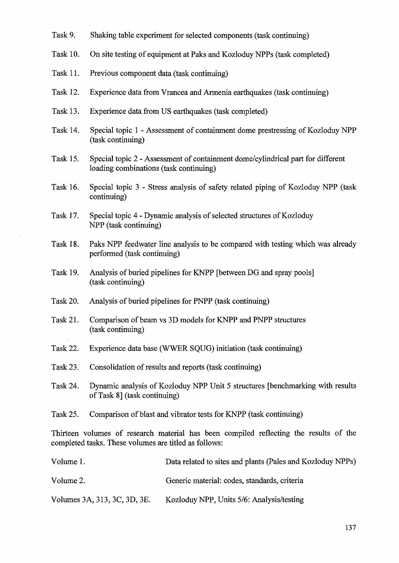- Task 9. Shaking table experiment for selected components (task continuing)
- Task 10. On site testing of equipment at Paks and Kozloduy NPPs (task completed)
- Task 11. Previous component data (task continuing)
- Task 12. Experience data from Vrancea and Armenia earthquakes (task continuing)
- Task 13. Experience data from US earthquakes (task completed)
- Task 14. Special topic 1 Assessment of containment dome prestressing of Kozloduy NPP (task continuing)
- Task 15. Special topic 2 Assessment of containment dome/cylindrical part for different loading combinations (task continuing)
- Task 16. Special topic 3 Stress analysis of safety related piping of Kozloduy NPP (task continuing)
- Task 17. Special topic 4 Dynamic analysis of selected structures of Kozloduy NPP (task continuing)
- Task 18. Paks NPP feedwater line analysis to be compared with testing which was already performed (task continuing)
- Task 19. Analysis of buried pipelines for KNPP [between DG and spray pools] (task continuing)
- Task 20. Analysis of buried pipelines for PNPP (task continuing)
- Task 21. Comparison of beam vs 3D models for KNPP and PNPP structures (task continuing)
- Task 22. Experience data base (WWER SQUG) initiation (task continuing)
- Task 23. Consolidation of results and reports (task continuing)
- Task 24. Dynamic analysis of Kozloduy NPP Unit 5 structures [benchmarking with results of Task 8] (task continuing)
- Task 25. Comparison of blast and vibrator tests for KNPP (task continuing)

Thirteen volumes of research material has been compiled reflecting the results of the completed tasks. These volumes are titled as follows:

| Volume 1.                    | Data related to sites and plants (Pales and Kozloduy NPPs) |
|------------------------------|------------------------------------------------------------|
| Volume 2.                    | Generic material: codes, standards, criteria               |
| Volumes 3A, 313, 3C, 3D, 3E. | Kozloduy NPP, Units 5/6: Analysis/testing                  |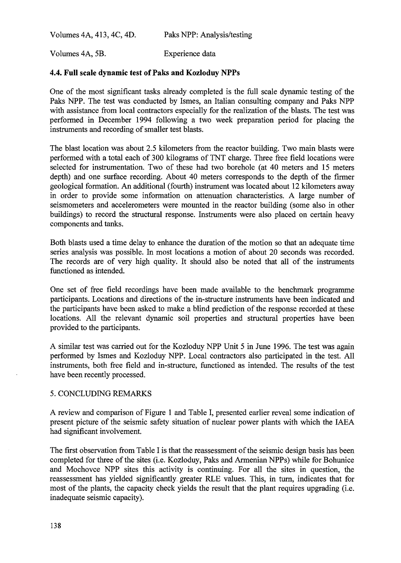Volumes 4A, 413,4C, 4D. Paks NPP: Analysis/testing

Volumes 4A, 5B. Experience data

#### **4.4. Full scale dynamic test of Paks and Kozloduy NPPs**

One of the most significant tasks already completed is the full scale dynamic testing of the Paks NPP. The test was conducted by Ismes, an Italian consulting company and Paks NPP with assistance from local contractors especially for the realization of the blasts. The test was performed in December 1994 following a two week preparation period for placing the instruments and recording of smaller test blasts.

The blast location was about 2.5 kilometers from the reactor building. Two main blasts were performed with a total each of 300 kilograms of TNT charge. Three free field locations were selected for instrumentation. Two of these had two borehole (at 40 meters and 15 meters depth) and one surface recording. About 40 meters corresponds to the depth of the firmer geological formation. An additional (fourth) instrument was located about 12 kilometers away in order to provide some information on attenuation characteristics. A large number of seismometers and accelerometers were mounted in the reactor building (some also in other buildings) to record the structural response. Instruments were also placed on certain heavy components and tanks.

Both blasts used a time delay to enhance the duration of the motion so that an adequate time series analysis was possible. In most locations a motion of about 20 seconds was recorded. The records are of very high quality. It should also be noted that all of the instruments functioned as intended.

One set of free field recordings have been made available to the benchmark programme participants. Locations and directions of the in-structure instruments have been indicated and the participants have been asked to make a blind prediction of the response recorded at these locations. All the relevant dynamic soil properties and structural properties have been provided to the participants.

A similar test was carried out for the Kozloduy NPP Unit 5 in June 1996. The test was again performed by Ismes and Kozloduy NPP. Local contractors also participated in the test. All instruments, both free field and in-structure, functioned as intended. The results of the test have been recently processed.

#### 5. CONCLUDING REMARKS

A review and comparison of Figure 1 and Table I, presented earlier reveal some indication of present picture of the seismic safety situation of nuclear power plants with which the IAEA had significant involvement.

The first observation from Table I is that the reassessment of the seismic design basis has been completed for three of the sites (i.e. Kozloduy, Paks and Armenian NPPs) while for Bohunice and Mochovce NPP sites this activity is continuing. For all the sites in question, the reassessment has yielded significantly- greater RLE values. This, in turn, indicates that for most of the plants, the capacity check yields the result that the plant requires upgrading (i.e. inadequate seismic capacity).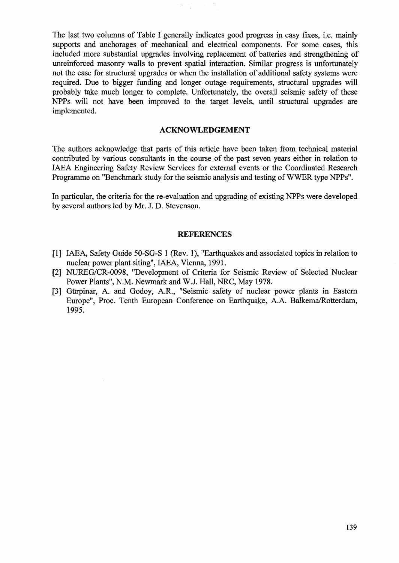The last two columns of Table I generally indicates good progress in easy fixes, i.e. mainly supports and anchorages of mechanical and electrical components. For some cases, this included more substantial upgrades involving replacement of batteries and strengthening of unreinforced masonry walls to prevent spatial interaction. Similar progress is unfortunately not the case for structural upgrades or when the installation of additional safety systems were required. Due to bigger funding and longer outage requirements, structural upgrades will probably take much longer to complete. Unfortunately, the overall seismic safety of these NPPs will not have been improved to the target levels, until structural upgrades are implemented.

#### ACKNOWLEDGEMENT

The authors acknowledge that parts of this article have been taken from technical material contributed by various consultants in the course of the past seven years either in relation to IAEA Engineering Safety Review Services for external events or the Coordinated Research Programme on "Benchmark study for the seismic analysis and testing of WWER type NPPs".

In particular, the criteria for the re-evaluation and upgrading of existing NPPs were developed by several authors led by Mr. J. D. Stevenson.

#### **REFERENCES**

- [1] IAEA, Safety Guide 50-SG-S 1 (Rev. 1), "Earthquakes and associated topics in relation to nuclear power plant siting", IAEA, Vienna, 1991.
- [2] NUREG/CR-0098, "Development of Criteria for Seismic Review of Selected Nuclear Power Plants", N.M. Newmark and W.J. Hall, NRC, May 1978.
- [3] Gürpinar, A. and Godoy, A.R., "Seismic safety of nuclear power plants in Eastern Europe", Proc. Tenth European Conference on Earthquake, A.A. Balkema/Rotterdam, 1995.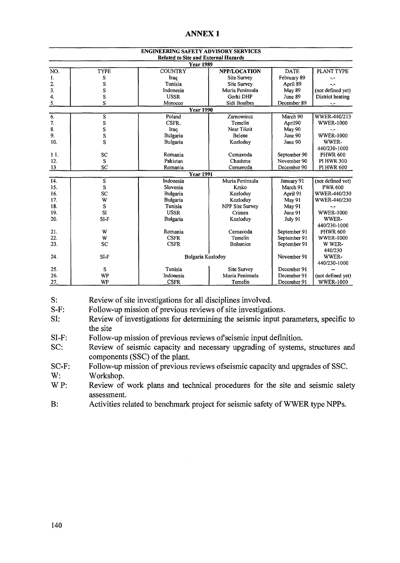| <b>ENGINEERING SAFETY ADVISORY SERVICES</b> |                                      |                   |                    |              |                   |  |  |
|---------------------------------------------|--------------------------------------|-------------------|--------------------|--------------|-------------------|--|--|
|                                             | Related to Site and External Hazards |                   |                    |              |                   |  |  |
|                                             | <b>Year 1989</b>                     |                   |                    |              |                   |  |  |
| NO.                                         | <b>TYPE</b>                          | <b>COUNTRY</b>    | NPP/LOCATION       | <b>DATE</b>  | PLANT TYPE        |  |  |
| 1.                                          | S                                    | Iraq              | Site Survey        | February 89  | ۰.-               |  |  |
| $\overline{2}$ .                            | S                                    | Tunisia           | Site Survey        | April 89     |                   |  |  |
| 3.                                          | S                                    | Indonesia         | Muria Peninsula    | May 89       | (not defined yet) |  |  |
| $\overline{4}$ .                            | S                                    | <b>USSR</b>       | Gorki DHP          | June 89      | District heating  |  |  |
| 5.                                          | S                                    | Morocco           | Sidi Boulbra       | December 89  | ٠.٠               |  |  |
|                                             |                                      | <b>Year 1990</b>  |                    |              |                   |  |  |
| 6.                                          | S                                    | Poland            | Zarnowiecz         | March 90     | WWER-440/213      |  |  |
| 7.                                          | S                                    | CSFR.             | Temelin            | April90      | <b>WWER-1000</b>  |  |  |
| 8.                                          |                                      | Iraq              | Near Tikrit        | May 90       | ٠,٠               |  |  |
| 9.                                          | s<br>s                               | <b>Bulgaria</b>   | Belene             | June 90      | <b>WWER-1000</b>  |  |  |
| 10.                                         | S                                    | Bulgaria          | Kozłoduy           | June 90      | WWER-             |  |  |
|                                             |                                      |                   |                    |              | 440/230-1000      |  |  |
| 11.                                         | SC                                   | Romania           | Cernavoda          | September 90 | <b>PHWR 600</b>   |  |  |
| 12.                                         | S                                    | Pakistan          | Chashma            | November 90  | <b>PI HWR 300</b> |  |  |
| 13                                          | <b>SC</b>                            | Romania           | Cernavoda          | December 90  | <b>PI HWR 600</b> |  |  |
|                                             |                                      | <b>Year 1991</b>  |                    |              |                   |  |  |
| 14.                                         | S                                    | Indonesia         | Muria Peninsula    | January 91   | (not defined vet) |  |  |
| 15.                                         | S                                    | Slovenia          | Krsko              | March 91     | <b>PWR 600</b>    |  |  |
| 16.                                         | <b>SC</b>                            | <b>Bulgaria</b>   | Kozloduy           | April 91     | WWER-440/230      |  |  |
| 17.                                         | W                                    | <b>Bulgaria</b>   | Kozloduy           | May 91       | WWER-440/230      |  |  |
| 18.                                         | S                                    | Tunisia           | NPP Site Survey    | May 91       | ٠.٠               |  |  |
| 19.                                         | SI                                   | <b>USSR</b>       | Crimea             | June 91      | <b>WWER-1000</b>  |  |  |
| 20.                                         | $SI-F$                               | <b>Bulgaria</b>   | Kozloduv           | July 91      | WWER-             |  |  |
|                                             |                                      |                   |                    |              | 440/230-1000      |  |  |
| 21.                                         | W                                    | Romania           | Cernavoda          | September 91 | <b>PHWR 600</b>   |  |  |
| 22.                                         | W                                    | <b>CSFR</b>       | Temelin            | September 91 | <b>WWER-1000</b>  |  |  |
| 23.                                         | <b>SC</b>                            | <b>CSFR</b>       | Bohunice           | September 91 | W WER-            |  |  |
|                                             |                                      |                   |                    |              | 440/230           |  |  |
| 24.                                         | SI-F                                 | Bulgaria Kozłoduy |                    | November 91  | WWER-             |  |  |
|                                             |                                      |                   |                    |              | 440/230-1000      |  |  |
| 25.                                         | S                                    | Tunisia           | <b>Site Survey</b> | December 91  |                   |  |  |
| 26.                                         | WP                                   | Indonesia         | Muria Peninsula    | December 91  | (not defined yet) |  |  |
| 27.                                         | WP                                   | <b>CSFR</b>       | Temelin            | December 91  | <b>WWER-1000</b>  |  |  |

### ANNEX 1

S: Review of site investigations for all disciplines involved.

S-F: Follow-up mission of previous reviews of site investigations.

SI: Review of investigations for determining the seismic input parameters, specific to the site

SI-F: Follow-up mission of previous reviews of seismic input definition.

SC: Review of seismic capacity and necessary upgrading of systems, structures and components (SSC) of the plant.

SC-F: Follow-up mission of previous reviews of seismic capacity and upgrades of SSC. W: Workshop.

W P: Review of work plans and technical procedures for the site and seismic salety assessment.

B: Activities related to benchmark project for seismic safety of WWER type NPPs.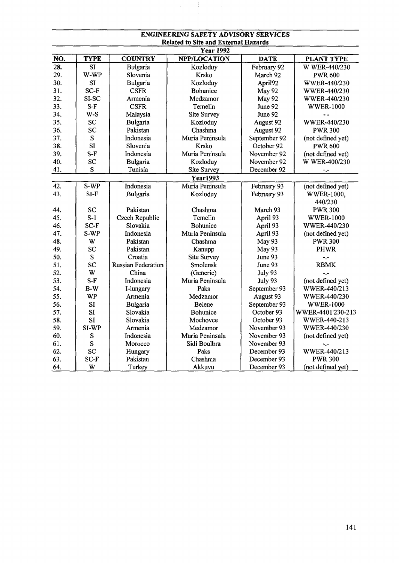| <b>Related to Site and External Hazards</b> |             |                           |                  |              |                          |  |
|---------------------------------------------|-------------|---------------------------|------------------|--------------|--------------------------|--|
|                                             |             |                           | <b>Year 1992</b> |              |                          |  |
| NO.                                         | <b>TYPE</b> | <b>COUNTRY</b>            | NPP/LOCATION     | <b>DATE</b>  | <b>PLANT TYPE</b>        |  |
| 28.                                         | SI          | <b>Bulgaria</b>           | Kozloduy         | February 92  | W WER-440/230            |  |
| 29.                                         | W-WP        | Slovenia                  | Krsko            | March 92     | <b>PWR 600</b>           |  |
| 30.                                         | SI          | Bulgaria                  | Kozloduy         | April92      | WWER-440/230             |  |
| 31.                                         | $SC-F$      | <b>CSFR</b>               | Bohunice         | May 92       | WWER-440/230             |  |
| 32.                                         | SI-SC       | Armenia                   | Medzamor         | May 92       | WWER-440/230             |  |
| 33.                                         | $S-F$       | <b>CSFR</b>               | Temelin          | June 92      | <b>WWER-1000</b>         |  |
| 34.                                         | $W-S$       | Malaysia                  | Site Survey      | June 92      | $\overline{\phantom{a}}$ |  |
| 35.                                         | <b>SC</b>   | Bulgaria                  | Kozloduy         | August 92    | WWER-440/230             |  |
| 36.                                         | <b>SC</b>   | Pakistan                  | Chashma          | August 92    | <b>PWR 300</b>           |  |
| 37.                                         | $\mathbf S$ | Indonesia                 | Muria Peninsula  | September 92 | (not defined yet)        |  |
| 38.                                         | SI          | Slovenia                  | Krsko            | October 92   | <b>PWR 600</b>           |  |
| 39.                                         | $S-F$       | Indonesia                 | Muria Peninsula  | November 92  | (not defined vet)        |  |
| 40.                                         | SC          | Bulgaria                  | Kozloduy         | November 92  | W WER-400/230            |  |
| 41.                                         | ${\bf S}$   | Tunisia                   | Site Survey      | December 92  | -.-                      |  |
|                                             |             |                           | <b>Year1993</b>  |              |                          |  |
| 42.                                         | S-WP        | Indonesia                 | Muria Peninsula  | February 93  | (not defined yet)        |  |
| 43.                                         | $SI-F$      | Bulgaria                  | Kozloduy         | February 93  | <b>WWER-1000,</b>        |  |
|                                             |             |                           |                  |              | 440/230                  |  |
| 44.                                         | <b>SC</b>   | Pakistan                  | Chashma          | March 93     | <b>PWR 300</b>           |  |
| 45.                                         | $S-1$       | Czech Republic            | Temelin          | April 93     | <b>WWER-1000</b>         |  |
| 46.                                         | $SC-F$      | Slovakia                  | <b>Bohunice</b>  | April 93     | WWER-440/230             |  |
| 47.                                         | S-WP        | Indonesia                 | Muria Peninsula  | April 93     | (not defined yet)        |  |
| 48.                                         | W           | Pakistan                  | Chashma          | May 93       | <b>PWR 300</b>           |  |
| 49.                                         | SC          | Pakistan                  | Kanupp           | May 93       | <b>PHWR</b>              |  |
| 50.                                         | S           | Croatia                   | Site Survey      | June 93      | $\ddotsc$                |  |
| 51.                                         | SC          | <b>Russian Federation</b> | Smolensk         | June 93      | <b>RBMK</b>              |  |
| 52.                                         | W           | China                     | (Generic)        | July 93      | $\sim$                   |  |
| 53.                                         | $S-F$       | Indonesia                 | Muria Peninsula  | July 93      | (not defined yet)        |  |
| 54.                                         | $B-W$       | I-lungary                 | Paks             | September 93 | WWER-440/213             |  |
| 55.                                         | WP          | Armenia                   | Medzamor         | August 93    | WWER-440/230             |  |
| 56.                                         | SI          | Bulgaria                  | <b>Belene</b>    | September 93 | <b>WWER-1000</b>         |  |
| 57.                                         | SI          | Slovakia                  | <b>Bohunice</b>  | October 93   | WWER-4401'230-213        |  |
| 58.                                         | SI          | Slovakia                  | Mochovce         | October 93   | WWER-440-213             |  |
| 59.                                         | SI-WP       | Armenia                   | Medzamor         | November 93  | WWER-440/230             |  |
| 60.                                         | ${\bf S}$   | Indonesia                 | Muria Peninsula  | November 93  | (not defined yet)        |  |
| 61.                                         | S           | Morocco                   | Sidi Boulbra     | November 93  | ۰.-                      |  |
| 62.                                         | SC          | Hungary                   | Paks             | December 93  | WWER-440/213             |  |
| 63.                                         | SC-F        | Pakistan                  | Chashma          | December 93  | <b>PWR 300</b>           |  |
| 64.                                         | W           | Turkey                    | Akkuvu           | December 93  | (not defined yet)        |  |

**ENGINEERING SAFETY ADVISORY SERVICES**

 $\sim 3\%$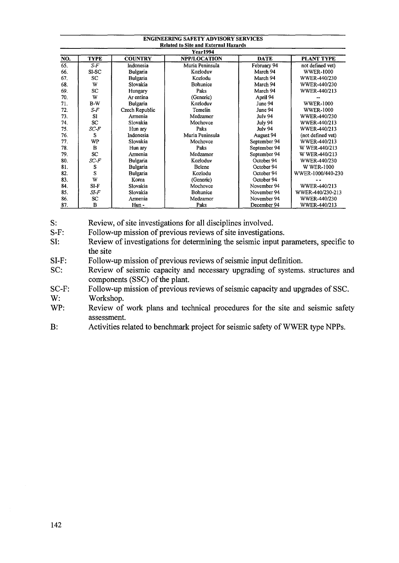|     | <b>ENGINEERING SAFETY ADVISORY SERVICES</b> |                 |                     |              |                   |  |  |  |
|-----|---------------------------------------------|-----------------|---------------------|--------------|-------------------|--|--|--|
|     | <b>Related to Site and External Hazards</b> |                 |                     |              |                   |  |  |  |
|     |                                             |                 | <b>Year1994</b>     |              |                   |  |  |  |
| NO. | <b>TYPE</b>                                 | <b>COUNTRY</b>  | <b>NPP/LOCATION</b> | <b>DATE</b>  | <b>PLANT TYPE</b> |  |  |  |
| 65. | $S-F$                                       | Indonesia       | Muria Peninsula     | February 94  | not defined vet)  |  |  |  |
| 66. | SI-SC                                       | <b>Bulgaria</b> | Kozloduv            | March 94     | <b>WWER-1000</b>  |  |  |  |
| 67. | SC.                                         | <b>Bulgaria</b> | Kozlodu             | March 94     | WWER-440/230      |  |  |  |
| 68. | W                                           | Slovakia        | Bohunice            | March 94     | WWER-440/230      |  |  |  |
| 69. | SC                                          | Hungary         | Paks                | March 94     | WWER-440/213      |  |  |  |
| 70. | W                                           | Ar entina       | (Generic)           | April 94     |                   |  |  |  |
| 71. | $B-W$                                       | Bulgaria        | Kozloduv            | June 94      | <b>WWER-1000</b>  |  |  |  |
| 72. | $S$ - $F$                                   | Czech Republic  | Temelin             | June 94      | <b>WWER-1000</b>  |  |  |  |
| 73. | <b>SI</b>                                   | Armenia         | Medzamor            | July 94      | WWER-440/230      |  |  |  |
| 74. | <b>SC</b>                                   | Slovakia        | Mochovce            | July 94      | WWER-440/213      |  |  |  |
| 75. | $SC-F$                                      | Hun arv         | Paks                | July 94      | WWER-440/213      |  |  |  |
| 76. | S                                           | Indonesia       | Muria Peninsula     | August 94    | (not defined vet) |  |  |  |
| 77. | WP                                          | Slovakia        | Mochovce            | September 94 | WWER-440/213      |  |  |  |
| 78. | B                                           | Hun arv         | Paks                | September 94 | W WER-440/213     |  |  |  |
| 79. | <b>SC</b>                                   | Armenia         | Medzamor            | September 94 | W WER-440/213     |  |  |  |
| 80. | $SC-F$                                      | Bulgaria        | Kozloduv            | October 94   | WWER-440/230      |  |  |  |
| 81. | S                                           | <b>Bulgaria</b> | Belene              | October 94   | <b>W WER-1000</b> |  |  |  |
| 82. | s                                           | Bulgaria        | Kozlodu             | October 94   | WWER-1000/440-230 |  |  |  |
| 83. | W                                           | Korea           | (Generic)           | October 94   |                   |  |  |  |
| 84. | $SI-F$                                      | Slovakia        | Mochovce            | November 94  | WWER-440/213      |  |  |  |
| 85. | SI-F                                        | Slovakia        | Bohunice            | November 94  | WWER-440/230-213  |  |  |  |
| 86. | <b>SC</b>                                   | Armenia         | Medzamor            | November 94  | WWER-440/230      |  |  |  |
| 87. | B                                           | Hun-            | Paks                | December 94  | WWER-440/213      |  |  |  |

S: Review, of site investigations for all disciplines involved.

S-F: Follow-up mission of previous reviews of site investigations.

SI: Review of investigations for determining the seismic input parameters, specific to the site

SI-F: Follow-up mission of previous reviews of seismic input definition.

SC: Review of seismic capacity and necessary upgrading of systems, structures and components (SSC) of the plant.

SC-F: Follow-up mission of previous reviews of seismic capacity and upgrades of SSC.

W: Workshop.

WP: Review of work plans and technical procedures for the site and seismic safety assessment.

B: Activities related to benchmark project for seismic safety of WWER type NPPs.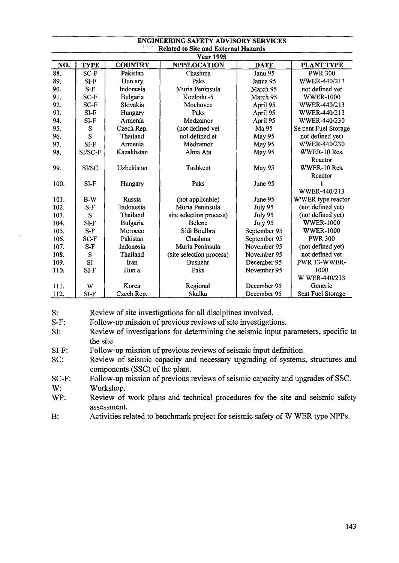| <b>Year 1995</b> |             |                |                          |              |                      |
|------------------|-------------|----------------|--------------------------|--------------|----------------------|
| NO.              | <b>TYPE</b> | <b>COUNTRY</b> | NPP/LOCATION             | <b>DATE</b>  | <b>PLANT TYPE</b>    |
| 88.              | SC-F        | Pakistan       | Chashma                  | Janu 95      | <b>PWR 300</b>       |
| 89.              | $SI-F$      | Hun ary        | Paks                     | Janua 95     | WWER-440/213         |
| 90.              | $S-F$       | Indonesia      | Muria Peninsula          | March 95     | not defined vet      |
| 91.              | $SC-F$      | Bulgaria       | Kozlodu -5               | March 95     | <b>WWER-1000</b>     |
| 92.              | SC-F        | Slovakia       | Mochovce                 | April 95     | WWER-440/213         |
| 93.              | SI-F        | Hungary        | Paks                     | April 95     | WWER-440/213         |
| 94.              | $SI-F$      | Armenia        | Medzamor                 | April 95     | WWER-440/230         |
| 95.              | S           | Czech Rep.     | (not defined vet         | Ma 95        | Se pent Fuel Storage |
| 96.              | S           | Thailand       | not defined et           | May 95       | not defined yet)     |
| 97.              | $SI-F$      | Armenia        | Medzamor                 | May 95       | WWER-440/230         |
| 98.              | SI/SC-F     | Kazakhstan     | Alma Ata                 | May 95       | WWER-10 Res.         |
|                  |             |                |                          |              | Reactor              |
| 99.              | SI/SC       | Uzbekistan     | Tashkent                 | May 95       | WWER-10 Res.         |
|                  |             |                |                          |              | Reactor              |
| 100.             | SI-F        | Hungary        | Paks                     | June 95      |                      |
|                  |             |                |                          |              | WWER-440/213         |
| 101.             | $B-W$       | Russia         | (not applicable)         | June 95      | W'WER type reactor   |
| 102.             | $S-F$       | Indonesia      | Muria Peninsula          | July 95      | (not defined yet)    |
| 103.             | S           | Thailand       | site selection process)  | July 95      | (not defined yet)    |
| 104.             | $SI-F$      | Bulgaria       | Belene                   | July 95      | <b>WWER-1000</b>     |
| 105.             | $S-F$       | Morocco        | Sidi Boulbra             | September 95 | <b>WWER-1000</b>     |
| 106.             | $SC-F$      | Pakistan       | Chashma                  | September 95 | <b>PWR 300</b>       |
| 107.             | $S-F$       | Indonesia      | Muria Peninsula          | November 95  | (not defined yet)    |
| 108.             | S           | Thailand       | (site selection process) | November 95  | not defined vet      |
| 109.             | SI          | <b>Iran</b>    | <b>Bushehr</b>           | December 95  | PWR 13-WWER-         |
| 110.             | $SI-F$      | Hun a          | Paks                     | November 95  | 1000                 |
|                  |             |                |                          |              | W WER-440/213        |
| 111.             | W           | Korea          | Regional                 | December 95  | Generic              |
| 112.             | SI-F        | Czech Rep.     | Skalka                   | December 95  | Sent Fuel Storage    |

#### **ENGINEERING SAFETY ADVISORY SERVICES**<br>Related to Site and External Hazards **Related to Site and External Hazards**

S: Review of site investigations for all disciplines involved.

S-F: Follow-up mission of previous reviews of site investigations.

SI: Review of investigations for determining the seismic input parameters, specific to the site

SI-F: Follow-up mission of previous reviews of seismic input definition.

SC: Review of seismic capacity and necessary upgrading of systems, structures and components (SSC) of the plant.

SC-F: Follow-up mission of previous reviews of seismic capacity and upgrades of SSC. W: Workshop.

- WP: Review of work plans and technical procedures for the site and seismic safety assessment.
- B: Activities related to benchmark project for seismic safety of W WER type NPPs.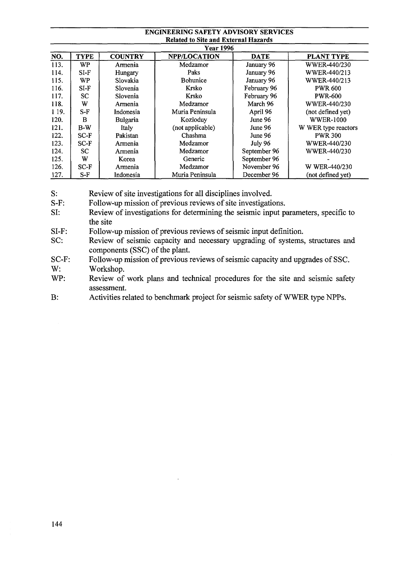#### **Related to Site and External Hazards Year 1996 NO. 113.** 114. 115. 116. 117. **118. 1 19. 120.** 121. 122. 123. 124. 125. 126. 127. **TYPE WP** SI-F **WP SI-F SC w** S-F **B B-W** SC-F **SC-F SC W SC-F** S-F **COUNTRY** Armenia Hungary Slovakia Slovenia Slovenia Armenia Indonesia Bulgaria Italy Pakistan Armenia Armenia Korea Armenia Indonesia **NPP/LOCATION** Medzamor Paks Bohunice Krsko Krsko Medzamor Muria Peninsula Kozloduy (not applicable) Chashma Medzamor Medzamor Generic Medzamor Muria Peninsula **DATE** January 96 January 96 January 96 February 96 February 96 March 96 April 96 June 96 June 96 June 96 July 96 September 96 September 96 November 96 December 96 **PLANT TYPE** WWER-440/230 WWER-440/213 WWER-440/213 PWR600 PWR-600 WWER-440/230 (not defined yet) WWER-1000 W WER type reactors PWR 300 WWER-440/230 WWER-440/230 - W WER-440/230 (not defined yet)

**ENGINEERING SAFETY ADVISORY SERVICES**

S:<br>
Review of site investigations for all disciplines involved.<br>
S-F: Follow-up mission of previous reviews of site investigations.

Follow-up mission of previous reviews of site investigations.

SI: Review of investigations for determining the seismic input parameters, specific to the site

SI-F: Follow-up mission of previous reviews of seismic input definition.

SC: Review of seismic capacity and necessary upgrading of systems, structures and components (SSC) of the plant.

- SC-F: Follow-up mission of previous reviews of seismic capacity and upgrades of SSC. W: Workshop.
- WP: Review of work plans and technical procedures for the site and seismic safety assessment.
- B: Activities related to benchmark project for seismic safety of WWER type NPPs.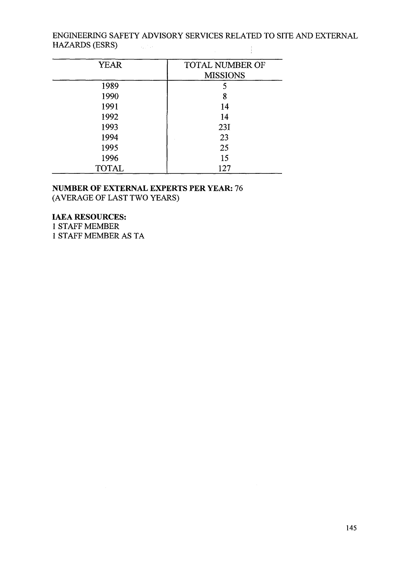ENGINEERING SAFETY ADVISORY SERVICES RELATED TO SITE AND EXTERNAL HAZARDS (ESRS)  $\sim 10^{10}$  km  $\frac{1}{2}$ 

| <b>YEAR</b> | <b>TOTAL NUMBER OF</b><br><b>MISSIONS</b> |
|-------------|-------------------------------------------|
| 1989        | 5                                         |
| 1990        | 8                                         |
| 1991        | 14                                        |
| 1992        | 14                                        |
| 1993        | 23I                                       |
| 1994        | 23                                        |
| 1995        | 25                                        |
| 1996        | 15                                        |
| TOTAL       | 127                                       |

# **NUMBER OF EXTERNAL EXPERTS PER YEAR:** 76

(AVERAGE OF LAST TWO YEARS)

#### **IAEA RESOURCES:**

1 STAFF MEMBER

1 STAFF MEMBER AS TA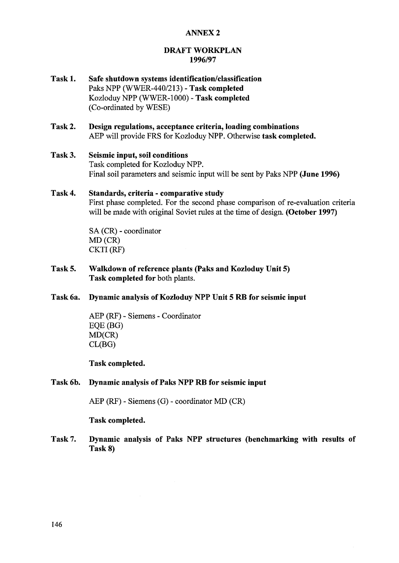#### **ANNEX2**

#### **DRAFT WORKPLAN 1996/97**

- **Task 1. Safe shutdown systems identification/classification** Paks NPP (WWER-440/213) - **Task completed** Kozloduy NPP (WWER-1000) - **Task completed** (Co-ordinated by WESE)
- **Task 2. Design regulations, acceptance criteria, loading combinations** AEP will provide FRS for Kozloduy NPP. Otherwise **task completed.**
- **Task 3. Seismic input, soil conditions** Task completed for Kozloduy NPP. Final soil parameters and seismic input will be sent by Paks NPP **(June 1996)**
- **Task 4. Standards, criteria comparative study** First phase completed. For the second phase comparison of re-evaluation criteria will be made with original Soviet rules at the time of design. **(October 1997)**

SA (CR) - coordinator MD (CR) CKTI (RF)

- **Task 5. Walkdown of reference plants (Paks and Kozloduy Unit 5) Task completed for** both plants.
- **Task 6a. Dynamic analysis of Kozloduy NPP Unit 5 RB for seismic input**

AEP (RF) - Siemens - Coordinator EQE (BG) MD(CR)  $CL(BG)$ 

Task completed.

#### Task 6b. Dynamic analysis of Paks NPP RB for seismic input **Task 6b. Dynamic analysis of Paks NPP RB for seismic input**

 $AEP (RF)$  - Siemens (G) - coordinator MD (CR)  $\mathcal{L}(\mathcal{F})$  - coordinator  $\mathcal{L}(\mathcal{F})$ 

#### Task completed. **Task completed.**

**Task 7. Dynamic analysis of Paks NPP structures (benchmarking with results of Task 8)**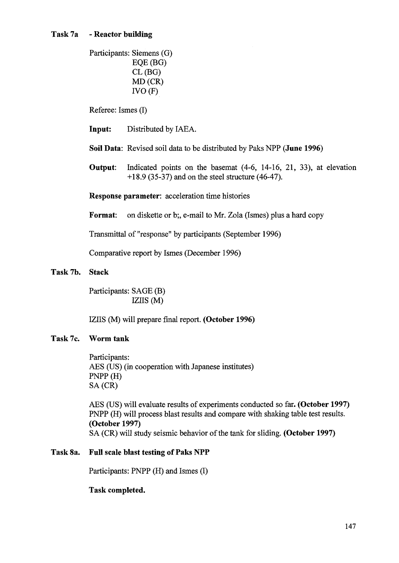#### **Task 7a - Reactor building**

Participants: Siemens (G) EQE (BG) CL (BG) MD (CR)  $\rm IVO$  (F)

Referee: Ismes (I)

**Input:** Distributed by IAEA.

**Soil Data:** Revised soil data to be distributed by Paks NPP **(June 1996)**

**Output:** Indicated points on the basemat (4-6, 14-16, 21, 33), at elevation +18.9 (35-37) and on the steel structure (46-47).

**Response parameter:** acceleration time histories

**Format:** on diskette or b;, e-mail to Mr. Zola (Ismes) plus a hard copy

Transmittal of "response" by participants (September 1996)

Comparative report by Ismes (December 1996)

#### **Task 7b. Stack**

Participants: SAGE (B) IZIIS (M)

IZIIS (M) will prepare final report. **(October 1996)**

#### **Task 7c. Worm tank**

Participants: AES (US) (in cooperation with Japanese institutes) PNPP (H) SA (CR)

AES (US) will evaluate results of experiments conducted so far. **(October 1997)** PNPP (H) will process blast results and compare with shaking table test results. **(October 1997)** SA (CR) will study seismic behavior of the tank for sliding. **(October 1997)**

#### **Task 8a. Full scale blast testing of Paks NPP**

Participants: PNPP (H) and Ismes (I)

#### **Task completed.**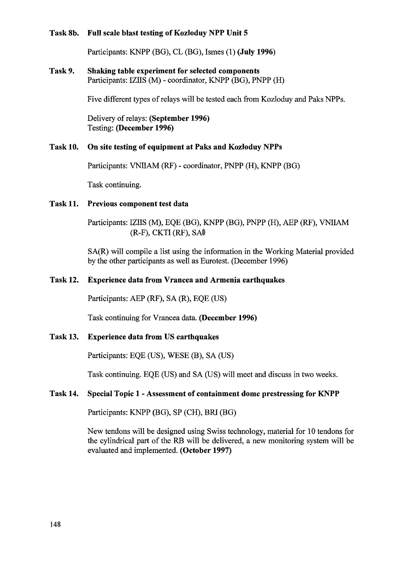#### **Task 8b. Full scale blast testing of Kozloduy NPP Unit 5**

Participants: KNPP (BG), CL (BG), Ismes (1) **(July 1996)**

#### **Task 9. Shaking table experiment for selected components** Participants: IZIIS (M) - coordinator, KNPP (BG), PNPP (H)

Five different types of relays will be tested each from Kozloduy and Paks NPPs.

Delivery of relays: **(September 1996)** Testing: **(December 1996)**

#### **Task 10. On site testing of equipment at Paks and Kozloduy NPPs**

Participants: VNIIAM (RF) - coordinator, PNPP (H), KNPP (BG)

Task continuing.

#### **Task 11. Previous component test data**

Participants: IZIIS (M), EQE (BG), KNPP (BG), PNPP (H), AEP (RF), VNIIAM (R-F), CKTI (RF), SA®

S A(R) will compile a list using the information in the Working Material provided by the other participants as well as Eurotest. (December 1996)

#### **Task 12. Experience data from Vrancea and Armenia earthquakes**

Participants: AEP (RF), SA (R), EQE (US)

Task continuing for Vrancea data. **(December 1996)**

#### **Task 13. Experience data from US earthquakes**

Participants: EQE (US), WESE (B), SA (US)

Task continuing. EQE (US) and SA (US) will meet and discuss in two weeks.

#### **Task 14. Special Topic 1 - Assessment of containment dome prestressing for KNPP**

Participants: KNPP (BG), SP (CH), BRI (BG)

New tendons will be designed using Swiss technology, material for 10 tendons for the cylindrical part of the RB will be delivered, a new monitoring system will be evaluated and implemented. **(October 1997)**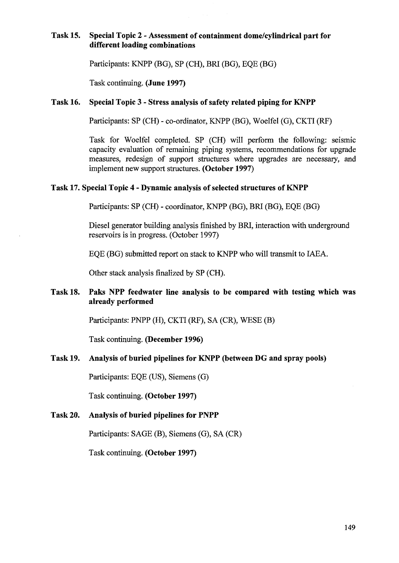#### **Task 15. Special Topic 2 - Assessment of containment dome/cylindrical part for different loading combinations**

Participants: KNPP (BG), SP (CH), BRI (BG), EQE (BG)

Task continuing. **(June 1997)**

#### **Task 16. Special Topic 3 - Stress analysis of safety related piping for KNPP**

Participants: SP (CH) - co-ordinator, KNPP (BG), Woelfel (G), CKTI (RF)

Task for Woelfel completed. SP (CH) will perform the following: seismic capacity evaluation of remaining piping systems, recommendations for upgrade measures, redesign of support structures where upgrades are necessary, and implement new support structures. **(October 1997)**

#### **Task 17. Special Topic 4 - Dynamic analysis of selected structures of KNPP**

Participants: SP (CH) - coordinator, KNPP (BG), BRI (BG), EQE (BG)

Diesel generator building analysis finished by BRI, interaction with underground reservoirs is in progress. (October 1997)

EQE (BG) submitted report on stack to KNPP who will transmit to IAEA.

Other stack analysis finalized by SP (CH).

#### **Task 18. Paks NPP feedwater line analysis to be compared with testing which was already performed**

Participants: PNPP (H), CKTI (RF), SA (CR), WESE (B)

Task continuing. **(December 1996)**

#### **Task 19. Analysis of buried pipelines for KNPP (between DG and spray pools)**

Participants: EQE (US), Siemens (G)

Task continuing. **(October 1997)**

#### **Task 20. Analysis of buried pipelines for PNPP**

Participants: SAGE (B), Siemens (G), SA (CR)

Task continuing. **(October 1997)**